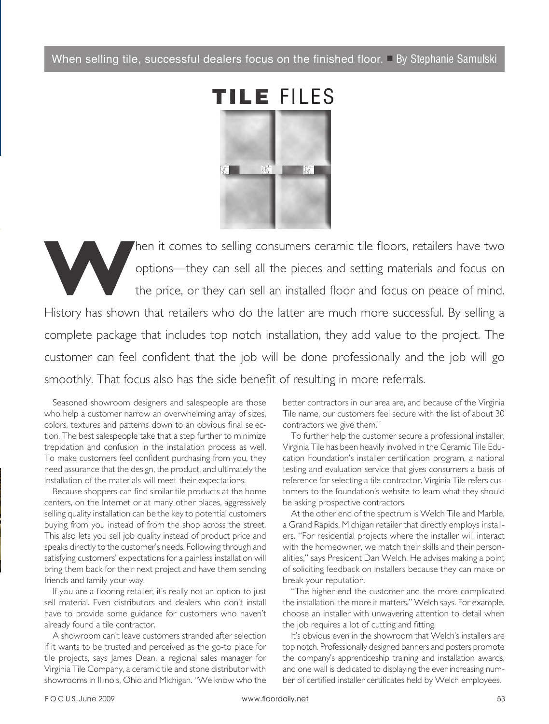When selling tile, successful dealers focus on the finished floor.  $\Box$  By Stephanie Samulski



hen it comes to selling consumers ceramic tile floors, retailers have two options—they can sell all the pieces and setting materials and focus on the price, or they can sell an installed floor and focus on peace of mind. options—they can sell all the pieces and setting materials and focus on the price, or they can sell an installed floor and focus on peace of mind. History has shown that retailers who do the latter are much more successful. By selling a complete package that includes top notch installation, they add value to the project. The customer can feel confident that the job will be done professionally and the job will go smoothly. That focus also has the side benefit of resulting in more referrals.

 Seasoned showroom designers and salespeople are those who help a customer narrow an overwhelming array of sizes, colors, textures and patterns down to an obvious final selection. The best salespeople take that a step further to minimize trepidation and confusion in the installation process as well. To make customers feel confident purchasing from you, they need assurance that the design, the product, and ultimately the installation of the materials will meet their expectations.

Because shoppers can find similar tile products at the home centers, on the Internet or at many other places, aggressively selling quality installation can be the key to potential customers buying from you instead of from the shop across the street. This also lets you sell job quality instead of product price and speaks directly to the customer's needs. Following through and satisfying customers' expectations for a painless installation will bring them back for their next project and have them sending friends and family your way.

If you are a flooring retailer, it's really not an option to just sell material. Even distributors and dealers who don't install have to provide some guidance for customers who haven't already found a tile contractor.

 A showroom can't leave customers stranded after selection if it wants to be trusted and perceived as the go-to place for tile projects, says James Dean, a regional sales manager for Virginia Tile Company, a ceramic tile and stone distributor with showrooms in Illinois, Ohio and Michigan. "We know who the

better contractors in our area are, and because of the Virginia Tile name, our customers feel secure with the list of about 30 contractors we give them."

 To further help the customer secure a professional installer, Virginia Tile has been heavily involved in the Ceramic Tile Education Foundation's installer certification program, a national testing and evaluation service that gives consumers a basis of reference for selecting a tile contractor. Virginia Tile refers customers to the foundation's website to learn what they should be asking prospective contractors.

 At the other end of the spectrum is Welch Tile and Marble, a Grand Rapids, Michigan retailer that directly employs installers. "For residential projects where the installer will interact with the homeowner, we match their skills and their personalities," says President Dan Welch. He advises making a point of soliciting feedback on installers because they can make or break your reputation.

 "The higher end the customer and the more complicated the installation, the more it matters," Welch says. For example, choose an installer with unwavering attention to detail when the job requires a lot of cutting and fitting.

It's obvious even in the showroom that Welch's installers are top notch. Professionally designed banners and posters promote the company's apprenticeship training and installation awards, and one wall is dedicated to displaying the ever increasing number of certified installer certificates held by Welch employees.